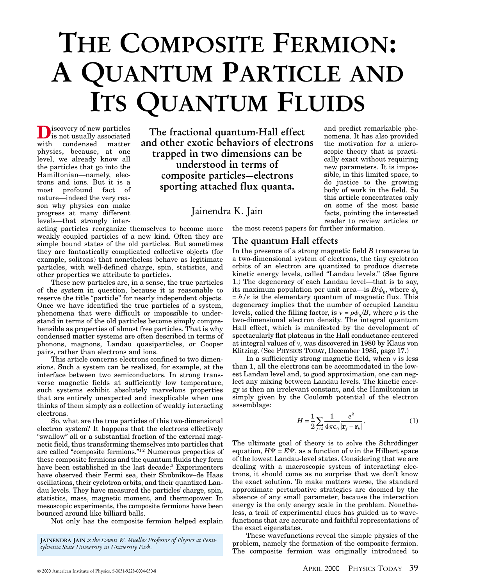# THE COMPOSITE FERMION: A QUANTUM PARTICLE AND ITS QUANTUM FLUIDS

**D**iscovery of new particles with condensed matter physics, because, at one level, we already know all the particles that go into the Hamiltonian—namely, electrons and ions. But it is a most profound fact of nature—indeed the very reason why physics can make progress at many different levels—that strongly inter-

The fractional quantum-Hall effect and other exotic behaviors of electrons trapped in two dimensions can be understood in terms of composite particles—electrons sporting attached flux quanta.

## Jainendra K. Jain

acting particles reorganize themselves to become more weakly coupled particles of a new kind. Often they are simple bound states of the old particles. But sometimes they are fantastically complicated collective objects (for example, solitons) that nonetheless behave as legitimate particles, with well-defined charge, spin, statistics, and other properties we attribute to particles.

These new particles are, in a sense, the true particles of the system in question, because it is reasonable to reserve the title "particle" for nearly independent objects. Once we have identified the true particles of a system, phenomena that were difficult or impossible to understand in terms of the old particles become simply comprehensible as properties of almost free particles. That is why condensed matter systems are often described in terms of phonons, magnons, Landau quasiparticles, or Cooper pairs, rather than electrons and ions.

This article concerns electrons confined to two dimensions. Such a system can be realized, for example, at the interface between two semiconductors. In strong transverse magnetic fields at sufficiently low temperature, such systems exhibit absolutely marvelous properties that are entirely unexpected and inexplicable when one thinks of them simply as a collection of weakly interacting electrons.

So, what are the true particles of this two-dimensional electron system? It happens that the electrons effectively "swallow" all or a substantial fraction of the external magnetic field, thus transforming themselves into particles that are called "composite fermions."1,2 Numerous properties of these composite fermions and the quantum fluids they form have been established in the last decade:<sup>3</sup> Experimenters have observed their Fermi sea, their Shubnikov–de Haas oscillations, their cyclotron orbits, and their quantized Landau levels. They have measured the particles' charge, spin, statistics, mass, magnetic moment, and thermopower. In mesoscopic experiments, the composite fermions have been bounced around like billiard balls.

Not only has the composite fermion helped explain

JAINENDRA JAIN is the Erwin W. Mueller Professor of Physics at Pennsylvania State University in University Park.

and predict remarkable phenomena. It has also provided the motivation for a microscopic theory that is practically exact without requiring new parameters. It is impossible, in this limited space, to do justice to the growing body of work in the field. So this article concentrates only on some of the most basic facts, pointing the interested reader to review articles or

the most recent papers for further information.

#### The quantum Hall effects

In the presence of a strong magnetic field *B* transverse to a two-dimensional system of electrons, the tiny cyclotron orbits of an electron are quantized to produce discrete kinetic energy levels, called "Landau levels." (See figure 1.) The degeneracy of each Landau level—that is to say, its maximum population per unit area—is  $B/\phi_{0}$ , where  $\phi_{0}$  $= h/e$  is the elementary quantum of magnetic flux. This degeneracy implies that the number of occupied Landau levels, called the filling factor, is  $v = \rho \phi_0 / B$ , where  $\rho$  is the two-dimensional electron density. The integral quantum Hall effect, which is manifested by the development of spectacularly flat plateaus in the Hall conductance centered at integral values of  $\nu$ , was discovered in 1980 by Klaus von Klitzing. (See PHYSICS TODAY, December 1985, page 17.)

In a sufficiently strong magnetic field, when  $\nu$  is less than 1, all the electrons can be accommodated in the lowest Landau level and, to good approximation, one can neglect any mixing between Landau levels. The kinetic energy is then an irrelevant constant, and the Hamiltonian is simply given by the Coulomb potential of the electron assemblage:

$$
H = \frac{1}{2} \sum_{j \neq k} \frac{1}{4\pi\epsilon_0} \frac{e^2}{|\mathbf{r}_j - \mathbf{r}_k|}.
$$
 (1)

The ultimate goal of theory is to solve the Schrödinger equation,  $H\Psi = E\Psi$ , as a function of v in the Hilbert space of the lowest Landau-level states. Considering that we are dealing with a macroscopic system of interacting electrons, it should come as no surprise that we don't know the exact solution. To make matters worse, the standard approximate perturbative strategies are doomed by the absence of any small parameter, because the interaction energy is the only energy scale in the problem. Nonetheless, a trail of experimental clues has guided us to wavefunctions that are accurate and faithful representations of the exact eigenstates.

These wavefunctions reveal the simple physics of the problem, namely the formation of the composite fermion. The composite fermion was originally introduced to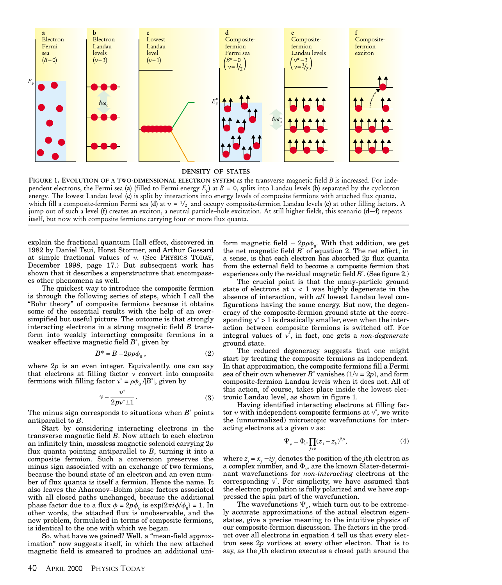

**DENSITY OF STATES**

FIGURE 1. EVOLUTION OF A TWO-DIMENSIONAL ELECTRON SYSTEM as the transverse magnetic field  $B$  is increased. For independent electrons, the Fermi sea (a) (filled to Fermi energy  $E<sub>r</sub>$ ) at  $B = 0$ , splits into Landau levels (b) separated by the cyclotron energy. The lowest Landau level (c) is split by interactions into energy levels of composite fermions with attached flux quanta, which fill a composite-fermion Fermi sea (d) at  $v = \frac{1}{2}$  and occupy composite-fermion Landau levels (e) at other filling factors. A jump out of such a level (f) creates an exciton, a neutral particle–hole excitation. At still higher fields, this scenario (d—f) repeats itself, but now with composite fermions carrying four or more flux quanta.

explain the fractional quantum Hall effect, discovered in 1982 by Daniel Tsui, Horst Stormer, and Arthur Gossard at simple fractional values of  $\nu$ . (See PHYSICS TODAY, December 1998, page 17.) But subsequent work has shown that it describes a superstructure that encompasses other phenomena as well.

The quickest way to introduce the composite fermion is through the following series of steps, which I call the "Bohr theory" of composite fermions because it obtains some of the essential results with the help of an oversimpified but useful picture. The outcome is that strongly interacting electrons in a strong magnetic field *B* transform into weakly interacting composite fermions in a weaker effective magnetic field *B*\* , given by

$$
B^* = B - 2p\rho \phi_0 , \qquad (2)
$$

where 2*p* is an even integer. Equivalently, one can say that electrons at filling factor  $\nu$  convert into composite fermions with filling factor  $v^* = \rho \phi_0 / |B^*|$ , given by

$$
v = \frac{v^*}{2pv^* \pm 1} \,. \tag{3}
$$

The minus sign corresponds to situations when *B*\* points antiparallel to *B*.

Start by considering interacting electrons in the transverse magnetic field *B*. Now attach to each electron an infinitely thin, massless magnetic solenoid carrying 2*p* flux quanta pointing antiparallel to *B*, turning it into a composite fermion. Such a conversion preserves the minus sign associated with an exchange of two fermions, because the bound state of an electron and an even number of flux quanta is itself a fermion. Hence the name. It also leaves the Aharonov–Bohm phase factors associated with all closed paths unchanged, because the additional phase factor due to a flux  $\phi = 2p\phi_0$  is  $\exp\{2\pi i \phi/\phi_0\} = 1$ . In other words, the attached flux is unobservable, and the new problem, formulated in terms of composite fermions, is identical to the one with which we began.

So, what have we gained? Well, a "mean-field approximation" now suggests itself, in which the new attached magnetic field is smeared to produce an additional uni-

form magnetic field  $-2p\rho\phi_{0}$ . With that addition, we get the net magnetic field  $B^*$  of equation 2. The net effect, in a sense, is that each electron has absorbed 2*p* flux quanta from the external field to become a composite fermion that experiences only the residual magnetic field *B*\* . (See figure 2.)

The crucial point is that the many-particle ground state of electrons at  $v < 1$  was highly degenerate in the absence of interaction, with *all* lowest Landau level configurations having the same energy. But now, the degeneracy of the composite-fermion ground state at the corresponding  $v^* > 1$  is drastically smaller, even when the interaction between composite fermions is switched off. For integral values of  $v^*$ , in fact, one gets a *non-degenerate* ground state.

The reduced degeneracy suggests that one might start by treating the composite fermions as independent. In that approximation, the composite fermions fill a Fermi sea of their own whenever  $B^*$  vanishes  $(1/v = 2p)$ , and form composite-fermion Landau levels when it does not. All of this action, of course, takes place inside the lowest electronic Landau level, as shown in figure 1.

Having identified interacting electrons at filling factor  $v$  with independent composite fermions at  $v^*$ , we write the (unnormalized) microscopic wavefunctions for interacting electrons at a given  $\nu$  as:

$$
\Psi_{v} = \Phi_{v^*} \prod_{j < k} (z_j - z_k)^{2p},\tag{4}
$$

where  $z_i = x_j - iy_j$  denotes the position of the *j*th electron as a complex number, and  $\Phi_{n*}$  are the known Slater-determinant wavefunctions for *non-interacting* electrons at the corresponding  $v^*$ . For simplicity, we have assumed that the electron population is fully polarized and we have suppressed the spin part of the wavefunction.

The wavefunctions  $\Psi_n$ , which turn out to be extremely accurate approximations of the actual electron eigenstates, give a precise meaning to the intuitive physics of our composite-fermion discussion. The factors in the product over all electrons in equation 4 tell us that every electron sees 2*p* vortices at every other electron. That is to say, as the *j*th electron executes a closed path around the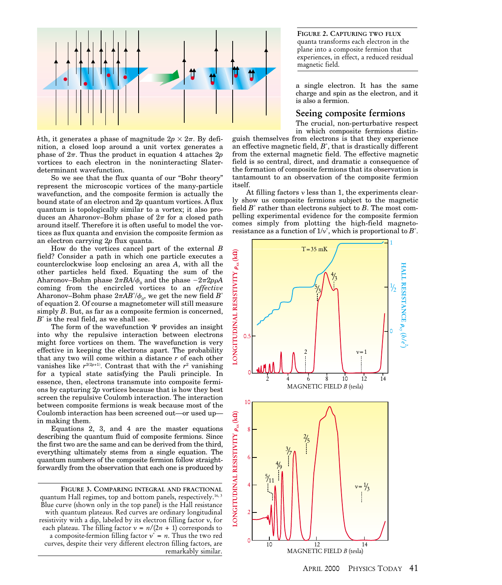

*k*th, it generates a phase of magnitude  $2p \times 2\pi$ . By definition, a closed loop around a unit vortex generates a phase of  $2\pi$ . Thus the product in equation 4 attaches  $2p$ vortices to each electron in the noninteracting Slaterdeterminant wavefunction.

So we see that the flux quanta of our "Bohr theory" represent the microscopic vortices of the many-particle wavefunction, and the composite fermion is actually the bound state of an electron and 2*p* quantum vortices. A flux quantum is topologically similar to a vortex; it also produces an Aharonov–Bohm phase of  $2\pi$  for a closed path around itself. Therefore it is often useful to model the vortices as flux quanta and envision the composite fermion as an electron carrying 2*p* flux quanta.

How do the vortices cancel part of the external *B* field? Consider a path in which one particle executes a counterclockwise loop enclosing an area *A*, with all the other particles held fixed. Equating the sum of the Aharonov–Bohm phase  $2\pi BA/\phi_0$  and the phase  $-2\pi 2p\rho A$ coming from the encircled vortices to an *effective* Aharonov–Bohm phase  $2\pi AB^{\ast}/\phi_{0}$ , we get the new field  $B^{\ast}$ of equation 2. Of course a magnetometer will still measure simply *B*. But, as far as a composite fermion is concerned, *B*\* is the real field, as we shall see.

The form of the wavefunction  $\Psi$  provides an insight into why the repulsive interaction between electrons might force vortices on them. The wavefunction is very effective in keeping the electrons apart. The probability that any two will come within a distance *r* of each other vanishes like  $r^{2(2p+1)}$ . Contrast that with the  $r^2$  vanishing for a typical state satisfying the Pauli principle. In essence, then, electrons transmute into composite fermions by capturing 2*p* vortices because that is how they best screen the repulsive Coulomb interaction. The interaction between composite fermions is weak because most of the Coulomb interaction has been screened out—or used up in making them.

Equations 2, 3, and 4 are the master equations describing the quantum fluid of composite fermions. Since the first two are the same and can be derived from the third, everything ultimately stems from a single equation. The quantum numbers of the composite fermion follow straightforwardly from the observation that each one is produced by

FIGURE 3. COMPARING INTEGRAL AND FRACTIONAL quantum Hall regimes, top and bottom panels, respectively.16, 3 Blue curve (shown only in the top panel) is the Hall resistance with quantum plateaus. Red curves are ordinary longitudinal resistivity with a dip, labeled by its electron filling factor  $v$ , for each plateau. The filling factor  $v = n/(2n + 1)$  corresponds to a composite-fermion filling factor  $v^* = n$ . Thus the two red curves, despite their very different electron filling factors, are remarkably similar.

FIGURE 2. CAPTURING TWO FLUX quanta transforms each electron in the plane into a composite fermion that experiences, in effect, a reduced residual magnetic field.

a single electron. It has the same charge and spin as the electron, and it is also a fermion.

## Seeing composite fermions

The crucial, non-perturbative respect in which composite fermions distin-

guish themselves from electrons is that they experience an effective magnetic field, *B*\* , that is drastically different from the external magnetic field. The effective magnetic field is so central, direct, and dramatic a consequence of the formation of composite fermions that its observation is tantamount to an observation of the composite fermion itself.

At filling factors  $\nu$  less than 1, the experiments clearly show us composite fermions subject to the magnetic field *B*\* rather than electrons subject to *B*. The most compelling experimental evidence for the composite fermion comes simply from plotting the high-field magnetoresistance as a function of  $1/v^*$ , which is proportional to  $B^*$ .

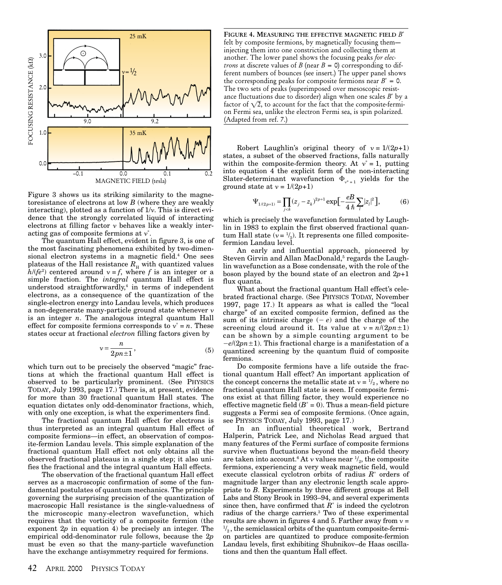

Figure 3 shows us its striking similarity to the magnetoresistance of electrons at low *B* (where they are weakly interacting), plotted as a function of  $1/v$ . This is direct evidence that the strongly correlated liquid of interacting electrons at filling factor  $\nu$  behaves like a weakly interacting gas of composite fermions at  $v^*$ .

The quantum Hall effect, evident in figure 3, is one of the most fascinating phenomena exhibited by two-dimensional electron systems in a magnetic field.4 One sees plateaus of the Hall resistance  $R_{\rm H}$  with quantized values  $h/(fe^2)$  centered around  $v = f$ , where *f* is an integer or a simple fraction. The *integral* quantum Hall effect is understood straightforwardly,4 in terms of independent electrons, as a consequence of the quantization of the single-electron energy into Landau levels, which produces a non-degenerate many-particle ground state whenever  $\nu$ is an integer *n*. The analogous integral quantum Hall effect for composite fermions corresponds to  $v^* = n$ . These states occur at fractional *electron* filling factors given by

$$
v = \frac{n}{2pn \pm 1},\tag{5}
$$

which turn out to be precisely the observed "magic" fractions at which the fractional quantum Hall effect is observed to be particularly prominent. (See PHYSICS TODAY, July 1993, page 17.) There is, at present, evidence for more than 30 fractional quantum Hall states. The equation dictates only odd-denominator fractions, which, with only one exception, is what the experimenters find.

The fractional quantum Hall effect for electrons is thus interpreted as an integral quantum Hall effect of composite fermions—in effect, an observation of composite-fermion Landau levels. This simple explanation of the fractional quantum Hall effect not only obtains all the observed fractional plateaus in a single step; it also unifies the fractional and the integral quantum Hall effects.

The observation of the fractional quantum Hall effect serves as a macroscopic confirmation of some of the fundamental postulates of quantum mechanics. The principle governing the surprising precision of the quantization of macroscopic Hall resistance is the single-valuedness of the microscopic many-electron wavefunction, which requires that the vorticity of a composite fermion (the exponent 2*p* in equation 4) be precisely an integer. The empirical odd-denominator rule follows, because the 2*p* must be even so that the many-particle wavefunction have the exchange antisymmetry required for fermions.

FIGURE 4. MEASURING THE EFFECTIVE MAGNETIC FIELD  $B^*$ felt by composite fermions, by magnetically focusing them injecting them into one constriction and collecting them at another. The lower panel shows the focusing peaks for elec*trons* at discrete values of B (near  $B = 0$ ) corresponding to different numbers of bounces (see insert.) The upper panel shows the corresponding peaks for composite fermions near  $B^* = 0$ . The two sets of peaks (superimposed over mesoscopic resistance fluctuations due to disorder) align when one scales  $B^*$  by a factor of  $\sqrt{2}$ , to account for the fact that the composite-fermion Fermi sea, unlike the electron Fermi sea, is spin polarized. (Adapted from ref. 7.)

Robert Laughlin's original theory of  $v = 1/(2p+1)$ states, a subset of the observed fractions, falls naturally within the composite-fermion theory. At  $v^* = 1$ , putting into equation 4 the explicit form of the non-interacting Slater-determinant wavefunction  $\Phi_{n^*-1}$  yields for the ground state at  $v = 1/(2p+1)$ 

$$
\Psi_{1/(2p+1)} = \prod_{j < k} (z_j - z_k)^{2p+1} \exp\left[-\frac{e}{4\,\hbar} \sum_l |z_l|^2\right],\tag{6}
$$

which is precisely the wavefunction formulated by Laughlin in 1983 to explain the first observed fractional quantum Hall state ( $v = \frac{1}{3}$ ). It represents one filled compositefermion Landau level.

An early and influential approach, pioneered by Steven Girvin and Allan MacDonald,<sup>5</sup> regards the Laughlin wavefunction as a Bose condensate, with the role of the boson played by the bound state of an electron and 2*p*+1 flux quanta.

What about the fractional quantum Hall effect's celebrated fractional charge. (See PHYSICS TODAY, November 1997, page 17.) It appears as what is called the "local charge" of an excited composite fermion, defined as the sum of its intrinsic charge  $(-e)$  and the charge of the screening cloud around it. Its value at  $v = n/(2pn+1)$ can be shown by a simple counting argument to be  $-e/(2pn\pm1)$ . This fractional charge is a manifestation of a quantized screening by the quantum fluid of composite fermions.

Do composite fermions have a life outside the fractional quantum Hall effect? An important application of the concept concerns the metallic state at  $v = \frac{1}{2}$ , where no fractional quantum Hall state is seen. If composite fermions exist at that filling factor, they would experience no effective magnetic field  $(B^* = 0)$ . Thus a mean-field picture suggests a Fermi sea of composite fermions. (Once again, see PHYSICS TODAY, July 1993, page 17.)

In an influential theoretical work, Bertrand Halperin, Patrick Lee, and Nicholas Read argued that many features of the Fermi surface of composite fermions survive when fluctuations beyond the mean-field theory are taken into account. $^6$  At v values near  $\mathrm{^{1\prime}}_{2}$ , the composite fermions, experiencing a very weak magnetic field, would execute classical cyclotron orbits of radius *R*\* orders of magnitude larger than any electronic length scale appropriate to *B*. Experiments by three different groups at Bell Labs and Stony Brook in 1993–94, and several experiments since then, have confirmed that  $R^*$  is indeed the cyclotron radius of the charge carriers.3 Two of these experimental results are shown in figures 4 and 5. Farther away from  $v =$  $\frac{1}{2}$ , the semiclassical orbits of the quantum composite-fermion particles are quantized to produce composite-fermion Landau levels, first exhibiting Shubnikov–de Haas oscillations and then the quantum Hall effect.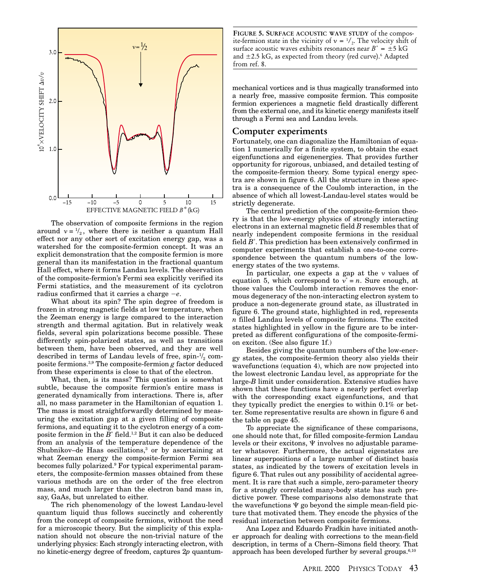

The observation of composite fermions in the region around  $v = \frac{1}{2}$ , where there is neither a quantum Hall effect nor any other sort of excitation energy gap, was a watershed for the composite-fermion concept. It was an explicit demonstration that the composite fermion is more general than its manifestation in the fractional quantum Hall effect, where it forms Landau levels. The observation of the composite-fermion's Fermi sea explicitly verified its Fermi statistics, and the measurement of its cyclotron radius confirmed that it carries a charge  $-e$ .

What about its spin? The spin degree of freedom is frozen in strong magnetic fields at low temperature, when the Zeeman energy is large compared to the interaction strength and thermal agitation. But in relatively weak fields, several spin polarizations become possible. These differently spin-polarized states, as well as transitions between them, have been observed, and they are well described in terms of Landau levels of free,  $spin^{-1/2}$  composite fermions.3,9 The composite-fermion *g* factor deduced from these experiments is close to that of the electron.

What, then, is its mass? This question is somewhat subtle, because the composite fermion's entire mass is generated dynamically from interactions. There is, after all, no mass parameter in the Hamiltonian of equation 1. The mass is most straightforwardly determined by measuring the excitation gap at a given filling of composite fermions, and equating it to the cyclotron energy of a composite fermion in the *B*\* field.1,2 But it can also be deduced from an analysis of the temperature dependence of the Shubnikov–de Haas oscillations, $3$  or by ascertaining at what Zeeman energy the composite-fermion Fermi sea becomes fully polarized.9 For typical experimental parameters, the composite-fermion masses obtained from these various methods are on the order of the free electron mass, and much larger than the electron band mass in, say, GaAs, but unrelated to either.

The rich phenomenology of the lowest Landau-level quantum liquid thus follows succinctly and coherently from the concept of composite fermions, without the need for a microscopic theory. But the simplicity of this explanation should not obscure the non-trivial nature of the underlying physics: Each strongly interacting electron, with no kinetic-energy degree of freedom, captures 2*p* quantumFIGURE 5. SURFACE ACOUSTIC WAVE STUDY of the composite-fermion state in the vicinity of  $v = \frac{1}{2}$ . The velocity shift of surface acoustic waves exhibits resonances near  $B^* = \pm 5$  kG and  $\pm 2.5$  kG, as expected from theory (red curve).<sup>6</sup> Adapted from ref. 8.

mechanical vortices and is thus magically transformed into a nearly free, massive composite fermion. This composite fermion experiences a magnetic field drastically different from the external one, and its kinetic energy manifests itself through a Fermi sea and Landau levels.

#### Computer experiments

Fortunately, one can diagonalize the Hamiltonian of equation 1 numerically for a finite system, to obtain the exact eigenfunctions and eigenenergies. That provides further opportunity for rigorous, unbiased, and detailed testing of the composite-fermion theory. Some typical energy spectra are shown in figure 6. All the structure in these spectra is a consequence of the Coulomb interaction, in the absence of which all lowest-Landau-level states would be strictly degenerate.

The central prediction of the composite-fermion theory is that the low-energy physics of strongly interacting electrons in an external magnetic field *B* resembles that of nearly independent composite fermions in the residual field *B*\* . This prediction has been extensively confirmed in computer experiments that establish a one-to-one correspondence between the quantum numbers of the lowenergy states of the two systems.

In particular, one expects a gap at the  $\nu$  values of equation 5, which correspond to  $v^* = n$ . Sure enough, at those values the Coulomb interaction removes the enormous degeneracy of the non-interacting electron system to produce a non-degenerate ground state, as illustrated in figure 6. The ground state, highlighted in red, represents *n* filled Landau levels of composite fermions. The excited states highlighted in yellow in the figure are to be interpreted as different configurations of the composite-fermion exciton. (See also figure 1f.)

Besides giving the quantum numbers of the low-energy states, the composite-fermion theory also yields their wavefunctions (equation 4), which are now projected into the lowest electronic Landau level, as appropriate for the large-*B* limit under consideration. Extensive studies have shown that these functions have a nearly perfect overlap with the corresponding exact eigenfunctions, and that they typically predict the energies to within 0.1% or better. Some representative results are shown in figure 6 and the table on page 45.

To appreciate the significance of these comparisons, one should note that, for filled composite-fermion Landau levels or their excitons,  $\Psi$  involves no adjustable parameter whatsover. Furthermore, the actual eigenstates are linear superpositions of a large number of distinct basis states, as indicated by the towers of excitation levels in figure 6. That rules out any possibility of accidental agreement. It is rare that such a simple, zero-parameter theory for a strongly correlated many-body state has such predictive power. These comparisons also demonstrate that the wavefunctions  $\Psi$  go beyond the simple mean-field picture that motivated them. They encode the physics of the residual interaction between composite fermions.

Ana Lopez and Eduardo Fradkin have initiated another approach for dealing with corrections to the mean-field description, in terms of a Chern–Simons field theory. That approach has been developed further by several groups. $6,10$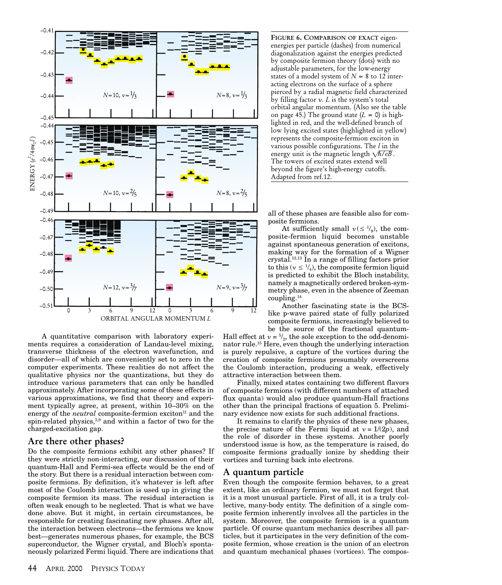

A quantitative comparison with laboratory experiments requires a consideration of Landau-level mixing, transverse thickness of the electron wavefunction, and disorder—all of which are conveniently set to zero in the computer experiments. These realities do not affect the qualitative physics nor the quantizations, but they do introduce various parameters that can only be handled approximately. After incorporating some of these effects in various approximations, we find that theory and experiment typically agree, at present, within 10–30% on the energy of the *neutral* composite-fermion exciton<sup>11</sup> and the spin-related physics,<sup>3,9</sup> and within a factor of two for the charged-excitation gap.

## Are there other phases?

Do the composite fermions exhibit any other phases? If they were strictly non-interacting, our discussion of their quantum-Hall and Fermi-sea effects would be the end of the story. But there is a residual interaction between composite fermions. By definition, it's whatever is left after most of the Coulomb interaction is used up in giving the composite fermion its mass. The residual interaction is often weak enough to be neglected. That is what we have done above. But it might, in certain circumstances, be responsible for creating fascinating new phases. After all, the interaction between electrons—the fermions we know best—generates numerous phases, for example, the BCS superconductor, the Wigner crystal, and Bloch's spontaneously polarized Fermi liquid. There are indications that

FIGURE 6. COMPARISON OF EXACT eigenenergies per particle (dashes) from numerical diagonalization against the energies predicted by composite fermion theory (dots) with no adjustable parameters, for the low-energy states of a model system of  $N = 8$  to 12 interacting electrons on the surface of a sphere pierced by a radial magnetic field characterized by filling factor  $v$ .  $L$  is the system's total orbital angular momentum. (Also see the table on page 45.) The ground state  $(L = 0)$  is highlighted in red, and the well-defined branch of low lying excited states (highlighted in yellow) represents the composite-fermion exciton in various possible configurations. The  $l$  in the energy unit is the magnetic length  $\sqrt{\hbar/eB}$ . The towers of excited states extend well beyond the figure's high-energy cutoffs. Adapted from ref.12.

all of these phases are feasible also for composite fermions.

At sufficiently small  $v \leq \frac{1}{9}$ , the composite-fermion liquid becomes unstable against spontaneous generation of excitons, making way for the formation of a Wigner crystal.12,13 In a range of filling factors prior to this ( $v \leq \frac{1}{4}$ ), the composite fermion liquid is predicted to exhibit the Bloch instability, namely a magnetically ordered broken-symmetry phase, even in the absence of Zeeman coupling.14

Another fascinating state is the BCSlike p-wave paired state of fully polarized composite fermions, increasingly believed to be the source of the fractional quantum-

Hall effect at  $v = \frac{5}{2}$ , the sole exception to the odd-denominator rule.15 Here, even though the underlying interaction is purely repulsive, a capture of the vortices during the creation of composite fermions presumably overscreens the Coulomb interaction, producing a weak, effectively attractive interaction between them.

Finally, mixed states containing two different flavors of composite fermions (with different numbers of attached flux quanta) would also produce quantum-Hall fractions other than the principal fractions of equation 5. Preliminary evidence now exists for such additional fractions.

It remains to clarify the physics of these new phases, the precise nature of the Fermi liquid at  $v = 1/(2p)$ , and the role of disorder in these systems. Another poorly understood issue is how, as the temperature is raised, do composite fermions gradually ionize by shedding their vortices and turning back into electrons.

#### A quantum particle

Even though the composite fermion behaves, to a great extent, like an ordinary fermion, we must not forget that it is a most unusual particle. First of all, it is a truly collective, many-body entity. The definition of a single composite fermion inherently involves all the particles in the system. Moreover, the composite fermion is a quantum particle. Of course quantum mechanics describes all particles, but it participates in the very definition of the composite fermion, whose creation is the union of an electron and quantum mechanical phases (vortices). The compos-